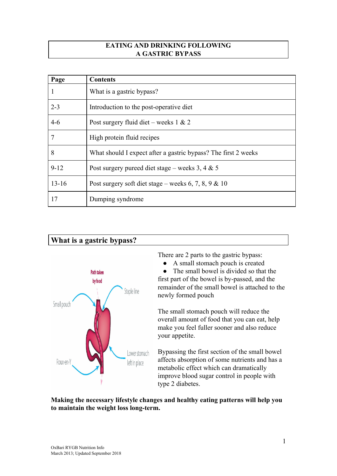#### **EATING AND DRINKING FOLLOWING A GASTRIC BYPASS**

| Page      | <b>Contents</b>                                                |
|-----------|----------------------------------------------------------------|
|           | What is a gastric bypass?                                      |
| $2 - 3$   | Introduction to the post-operative diet                        |
| $4 - 6$   | Post surgery fluid diet – weeks $1 \& 2$                       |
| 7         | High protein fluid recipes                                     |
| 8         | What should I expect after a gastric bypass? The first 2 weeks |
| $9 - 12$  | Post surgery pureed diet stage – weeks 3, 4 $\&$ 5             |
| $13 - 16$ | Post surgery soft diet stage – weeks 6, 7, 8, 9 & 10           |
| 17        | Dumping syndrome                                               |

# **What is a gastric bypass?**



There are 2 parts to the gastric bypass:

• A small stomach pouch is created

• The small bowel is divided so that the first part of the bowel is by-passed, and the remainder of the small bowel is attached to the newly formed pouch

The small stomach pouch will reduce the overall amount of food that you can eat, help make you feel fuller sooner and also reduce your appetite.

Bypassing the first section of the small bowel affects absorption of some nutrients and has a metabolic effect which can dramatically improve blood sugar control in people with type 2 diabetes.

**Making the necessary lifestyle changes and healthy eating patterns will help you to maintain the weight loss long-term.**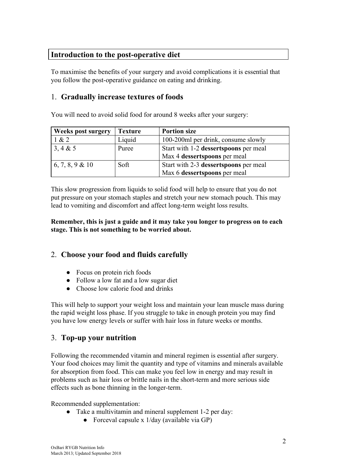## **Introduction to the post-operative diet**

To maximise the benefits of your surgery and avoid complications it is essential that you follow the post-operative guidance on eating and drinking.

## 1. **Gradually increase textures of foods**

You will need to avoid solid food for around 8 weeks after your surgery:

| <b>Weeks post surgery</b> | <b>Texture</b> | <b>Portion size</b>                   |
|---------------------------|----------------|---------------------------------------|
| 1 & 2                     | Liquid         | 100-200ml per drink, consume slowly   |
| 3, 4 & 5                  | Puree          | Start with 1-2 dessertspoons per meal |
|                           |                | Max 4 dessertspoons per meal          |
| 6, 7, 8, 9 & 10           | Soft           | Start with 2-3 dessertspoons per meal |
|                           |                | Max 6 dessertspoons per meal          |

This slow progression from liquids to solid food will help to ensure that you do not put pressure on your stomach staples and stretch your new stomach pouch. This may lead to vomiting and discomfort and affect long-term weight loss results.

**Remember, this is just a guide and it may take you longer to progress on to each stage. This is not something to be worried about.**

# 2. **Choose your food and fluids carefully**

- Focus on protein rich foods
- Follow a low fat and a low sugar diet
- Choose low calorie food and drinks

This will help to support your weight loss and maintain your lean muscle mass during the rapid weight loss phase. If you struggle to take in enough protein you may find you have low energy levels or suffer with hair loss in future weeks or months.

# 3. **Top-up your nutrition**

Following the recommended vitamin and mineral regimen is essential after surgery. Your food choices may limit the quantity and type of vitamins and minerals available for absorption from food. This can make you feel low in energy and may result in problems such as hair loss or brittle nails in the short-term and more serious side effects such as bone thinning in the longer-term.

Recommended supplementation:

- Take a multivitamin and mineral supplement 1-2 per day:
	- Forceval capsule x 1/day (available via GP)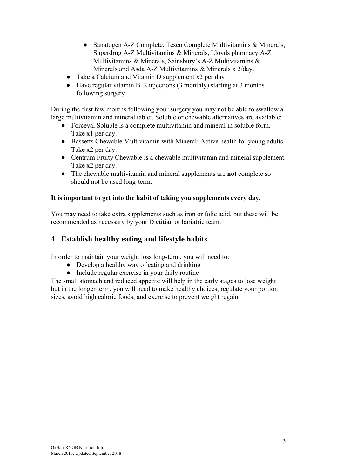- Sanatogen A-Z Complete, Tesco Complete Multivitamins & Minerals, Superdrug A-Z Multivitamins & Minerals, Lloyds pharmacy A-Z Multivitamins & Minerals, Sainsbury's A-Z Multivitamins & Minerals and Asda A-Z Multivitamins & Minerals x 2/day.
- Take a Calcium and Vitamin D supplement x2 per day
- Have regular vitamin B12 injections (3 monthly) starting at 3 months following surgery

During the first few months following your surgery you may not be able to swallow a large multivitamin and mineral tablet. Soluble or chewable alternatives are available:

- Forceval Soluble is a complete multivitamin and mineral in soluble form. Take x1 per day.
- Bassetts Chewable Multivitamin with Mineral: Active health for young adults. Take x2 per day.
- Centrum Fruity Chewable is a chewable multivitamin and mineral supplement. Take x2 per day.
- The chewable multivitamin and mineral supplements are **not** complete so should not be used long-term.

#### **It is important to get into the habit of taking you supplements every day.**

You may need to take extra supplements such as iron or folic acid, but these will be recommended as necessary by your Dietitian or bariatric team.

## 4. **Establish healthy eating and lifestyle habits**

In order to maintain your weight loss long-term, you will need to:

- Develop a healthy way of eating and drinking
- Include regular exercise in your daily routine

The small stomach and reduced appetite will help in the early stages to lose weight but in the longer term, you will need to make healthy choices, regulate your portion sizes, avoid high calorie foods, and exercise to prevent weight regain.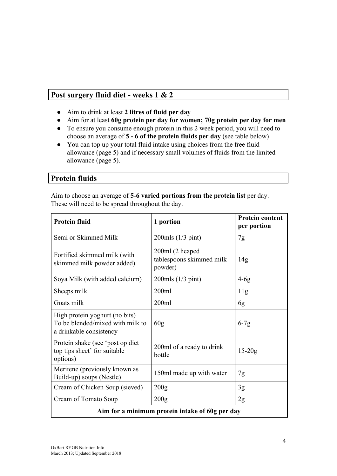## **Post surgery fluid diet - weeks 1 & 2**

- Aim to drink at least **2 litres of fluid per day**
- Aim for at least **60g protein per day for women; 70g protein per day for men**
- To ensure you consume enough protein in this 2 week period, you will need to choose an average of **5 - 6 of the protein fluids per day** (see table below)
- You can top up your total fluid intake using choices from the free fluid allowance (page 5) and if necessary small volumes of fluids from the limited allowance (page 5).

## **Protein fluids**

Aim to choose an average of **5-6 varied portions from the protein list** per day. These will need to be spread throughout the day.

| <b>Protein fluid</b>                                                                          | 1 portion                                              | <b>Protein content</b><br>per portion |
|-----------------------------------------------------------------------------------------------|--------------------------------------------------------|---------------------------------------|
| Semi or Skimmed Milk                                                                          | $200$ mls $(1/3$ pint)                                 | 7g                                    |
| Fortified skimmed milk (with<br>skimmed milk powder added)                                    | 200ml (2 heaped<br>tablespoons skimmed milk<br>powder) | 14g                                   |
| Soya Milk (with added calcium)                                                                | $200$ mls $(1/3$ pint)                                 | $4-6g$                                |
| Sheeps milk                                                                                   | 200ml                                                  | 11g                                   |
| Goats milk                                                                                    | 200ml                                                  | 6g                                    |
| High protein yoghurt (no bits)<br>To be blended/mixed with milk to<br>a drinkable consistency | 60 <sub>g</sub>                                        | $6-7g$                                |
| Protein shake (see 'post op diet<br>top tips sheet' for suitable<br>options)                  | 200ml of a ready to drink<br>bottle                    | $15-20g$                              |
| Meritene (previously known as<br>Build-up) soups (Nestle)                                     | 150ml made up with water                               | 7g                                    |
| Cream of Chicken Soup (sieved)                                                                | 200 <sub>g</sub>                                       | 3g                                    |
| Cream of Tomato Soup                                                                          | 200 <sub>g</sub>                                       | 2g                                    |
| Aim for a minimum protein intake of 60g per day                                               |                                                        |                                       |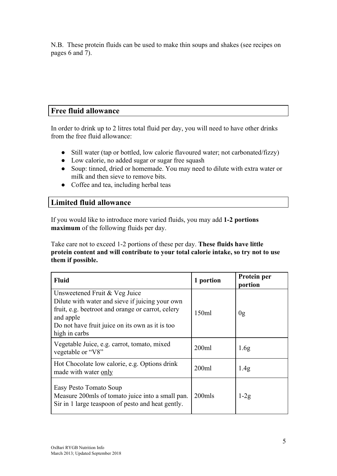N.B. These protein fluids can be used to make thin soups and shakes (see recipes on pages 6 and 7).

# **Free fluid allowance**

In order to drink up to 2 litres total fluid per day, you will need to have other drinks from the free fluid allowance:

- Still water (tap or bottled, low calorie flavoured water; not carbonated/fizzy)
- Low calorie, no added sugar or sugar free squash
- Soup: tinned, dried or homemade. You may need to dilute with extra water or milk and then sieve to remove bits.
- Coffee and tea, including herbal teas

### **Limited fluid allowance**

If you would like to introduce more varied fluids, you may add **1-2 portions maximum** of the following fluids per day.

Take care not to exceed 1-2 portions of these per day. **These fluids have little protein content and will contribute to your total calorie intake, so try not to use them if possible.**

| <b>Fluid</b>                                                                                                                                                                                                           | 1 portion | Protein per<br>portion |
|------------------------------------------------------------------------------------------------------------------------------------------------------------------------------------------------------------------------|-----------|------------------------|
| Unsweetened Fruit & Veg Juice<br>Dilute with water and sieve if juicing your own<br>fruit, e.g. beetroot and orange or carrot, celery<br>and apple<br>Do not have fruit juice on its own as it is too<br>high in carbs | 150ml     | 0g                     |
| Vegetable Juice, e.g. carrot, tomato, mixed<br>vegetable or "V8"                                                                                                                                                       | 200ml     | 1.6 <sub>g</sub>       |
| Hot Chocolate low calorie, e.g. Options drink<br>made with water only                                                                                                                                                  | 200ml     | 1.4 <sub>g</sub>       |
| Easy Pesto Tomato Soup<br>Measure 200mls of tomato juice into a small pan.<br>Sir in 1 large teaspoon of pesto and heat gently.                                                                                        | 200mls    | $1-2g$                 |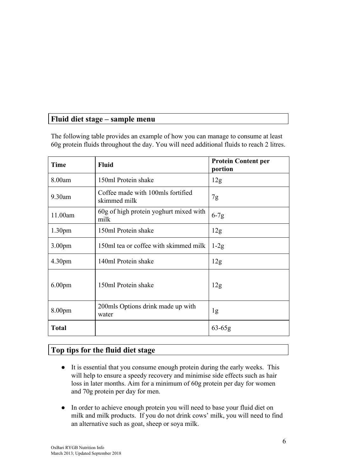# **Fluid diet stage – sample menu**

The following table provides an example of how you can manage to consume at least 60g protein fluids throughout the day. You will need additional fluids to reach 2 litres.

| <b>Time</b>        | <b>Fluid</b>                                      | <b>Protein Content per</b><br>portion |
|--------------------|---------------------------------------------------|---------------------------------------|
| 8.00am             | 150ml Protein shake                               | 12g                                   |
| 9.30am             | Coffee made with 100mls fortified<br>skimmed milk | 7g                                    |
| 11.00am            | 60g of high protein yoghurt mixed with<br>milk    | $6-7g$                                |
| 1.30 <sub>pm</sub> | 150ml Protein shake                               | 12g                                   |
| 3.00 <sub>pm</sub> | 150ml tea or coffee with skimmed milk             | $1-2g$                                |
| 4.30 <sub>pm</sub> | 140ml Protein shake                               | 12g                                   |
| 6.00 <sub>pm</sub> | 150ml Protein shake                               | 12g                                   |
| 8.00 <sub>pm</sub> | 200mls Options drink made up with<br>water        | 1g                                    |
| <b>Total</b>       |                                                   | $63 - 65g$                            |

# **Top tips for the fluid diet stage**

- It is essential that you consume enough protein during the early weeks. This will help to ensure a speedy recovery and minimise side effects such as hair loss in later months. Aim for a minimum of 60g protein per day for women and 70g protein per day for men.
- In order to achieve enough protein you will need to base your fluid diet on milk and milk products. If you do not drink cows' milk, you will need to find an alternative such as goat, sheep or soya milk.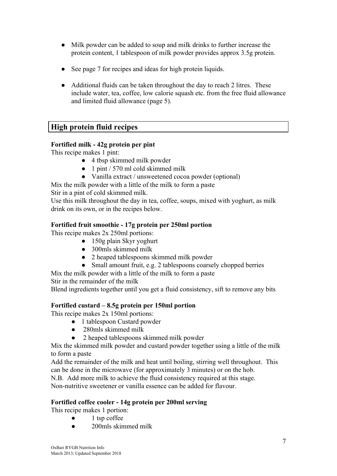- Milk powder can be added to soup and milk drinks to further increase the protein content, 1 tablespoon of milk powder provides approx 3.5g protein.
- See page 7 for recipes and ideas for high protein liquids.
- Additional fluids can be taken throughout the day to reach 2 litres. These include water, tea, coffee, low calorie squash etc. from the free fluid allowance and limited fluid allowance (page 5).

# **High protein fluid recipes**

#### **Fortified milk - 42g protein per pint**

This recipe makes 1 pint:

- 4 tbsp skimmed milk powder
- $\bullet$  1 pint / 570 ml cold skimmed milk
- Vanilla extract / unsweetened cocoa powder (optional)
- Mix the milk powder with a little of the milk to form a paste

Stir in a pint of cold skimmed milk.

Use this milk throughout the day in tea, coffee, soups, mixed with yoghurt, as milk drink on its own, or in the recipes below.

#### **Fortified fruit smoothie - 17g protein per 250ml portion**

This recipe makes 2x 250ml portions:

- 150g plain Skyr yoghurt
- 300mls skimmed milk
- 2 heaped tablespoons skimmed milk powder
- Small amount fruit, e.g. 2 tablespoons coarsely chopped berries
- Mix the milk powder with a little of the milk to form a paste

Stir in the remainder of the milk

Blend ingredients together until you get a fluid consistency, sift to remove any bits

#### **Fortified custard – 8.5g protein per 150ml portion**

This recipe makes 2x 150ml portions:

- 1 tablespoon Custard powder
- 280mls skimmed milk
- 2 heaped tablespoons skimmed milk powder

Mix the skimmed milk powder and custard powder together using a little of the milk to form a paste

Add the remainder of the milk and heat until boiling, stirring well throughout. This can be done in the microwave (for approximately 3 minutes) or on the hob.

N.B. Add more milk to achieve the fluid consistency required at this stage.

Non-nutritive sweetener or vanilla essence can be added for flavour.

#### **Fortified coffee cooler - 14g protein per 200ml serving**

This recipe makes 1 portion:

- $\bullet$  1 tsp coffee
- 200mls skimmed milk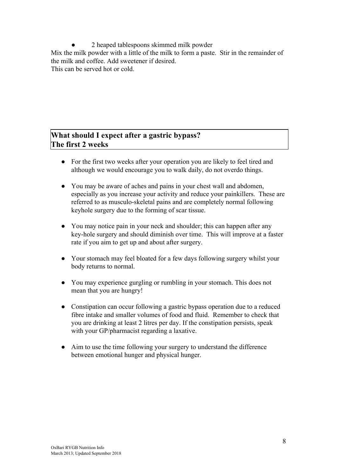2 heaped tablespoons skimmed milk powder

Mix the milk powder with a little of the milk to form a paste. Stir in the remainder of the milk and coffee. Add sweetener if desired.

This can be served hot or cold.

# **What should I expect after a gastric bypass? The first 2 weeks**

- For the first two weeks after your operation you are likely to feel tired and although we would encourage you to walk daily, do not overdo things.
- You may be aware of aches and pains in your chest wall and abdomen, especially as you increase your activity and reduce your painkillers. These are referred to as musculo-skeletal pains and are completely normal following keyhole surgery due to the forming of scar tissue.
- You may notice pain in your neck and shoulder; this can happen after any key-hole surgery and should diminish over time. This will improve at a faster rate if you aim to get up and about after surgery.
- Your stomach may feel bloated for a few days following surgery whilst your body returns to normal.
- You may experience gurgling or rumbling in your stomach. This does not mean that you are hungry!
- Constipation can occur following a gastric bypass operation due to a reduced fibre intake and smaller volumes of food and fluid. Remember to check that you are drinking at least 2 litres per day. If the constipation persists, speak with your GP/pharmacist regarding a laxative.
- Aim to use the time following your surgery to understand the difference between emotional hunger and physical hunger.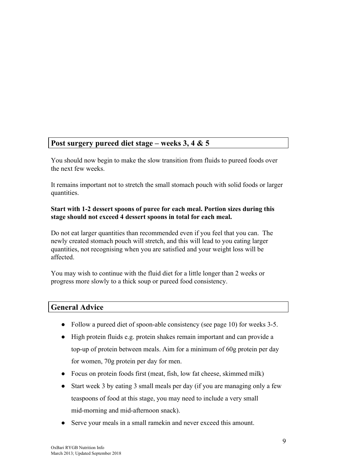# **Post surgery pureed diet stage – weeks 3, 4 & 5**

You should now begin to make the slow transition from fluids to pureed foods over the next few weeks.

It remains important not to stretch the small stomach pouch with solid foods or larger quantities.

#### **Start with 1-2 dessert spoons of puree for each meal. Portion sizes during this stage should not exceed 4 dessert spoons in total for each meal.**

Do not eat larger quantities than recommended even if you feel that you can. The newly created stomach pouch will stretch, and this will lead to you eating larger quantities, not recognising when you are satisfied and your weight loss will be affected.

You may wish to continue with the fluid diet for a little longer than 2 weeks or progress more slowly to a thick soup or pureed food consistency.

# **General Advice**

- Follow a pureed diet of spoon-able consistency (see page 10) for weeks 3-5.
- High protein fluids e.g. protein shakes remain important and can provide a top-up of protein between meals. Aim for a minimum of 60g protein per day for women, 70g protein per day for men.
- Focus on protein foods first (meat, fish, low fat cheese, skimmed milk)
- Start week 3 by eating 3 small meals per day (if you are managing only a few teaspoons of food at this stage, you may need to include a very small mid-morning and mid-afternoon snack).
- Serve your meals in a small ramekin and never exceed this amount.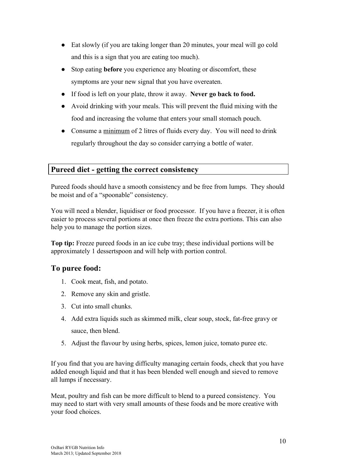- Eat slowly (if you are taking longer than 20 minutes, your meal will go cold and this is a sign that you are eating too much).
- Stop eating **before** you experience any bloating or discomfort, these symptoms are your new signal that you have overeaten.
- If food is left on your plate, throw it away. **Never go back to food.**
- Avoid drinking with your meals. This will prevent the fluid mixing with the food and increasing the volume that enters your small stomach pouch.
- Consume a minimum of 2 litres of fluids every day. You will need to drink regularly throughout the day so consider carrying a bottle of water.

## **Pureed diet - getting the correct consistency**

Pureed foods should have a smooth consistency and be free from lumps. They should be moist and of a "spoonable" consistency.

You will need a blender, liquidiser or food processor. If you have a freezer, it is often easier to process several portions at once then freeze the extra portions. This can also help you to manage the portion sizes.

**Top tip:** Freeze pureed foods in an ice cube tray; these individual portions will be approximately 1 dessertspoon and will help with portion control.

### **To puree food:**

- 1. Cook meat, fish, and potato.
- 2. Remove any skin and gristle.
- 3. Cut into small chunks.
- 4. Add extra liquids such as skimmed milk, clear soup, stock, fat-free gravy or sauce, then blend.
- 5. Adjust the flavour by using herbs, spices, lemon juice, tomato puree etc.

If you find that you are having difficulty managing certain foods, check that you have added enough liquid and that it has been blended well enough and sieved to remove all lumps if necessary.

Meat, poultry and fish can be more difficult to blend to a pureed consistency. You may need to start with very small amounts of these foods and be more creative with your food choices.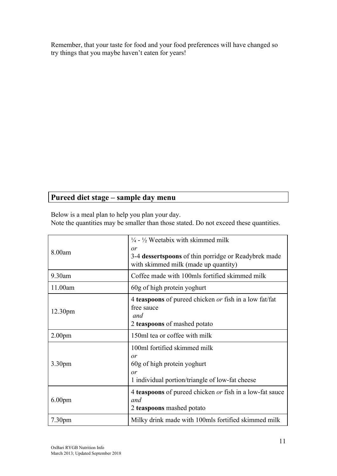Remember, that your taste for food and your food preferences will have changed so try things that you maybe haven't eaten for years!

# **Pureed diet stage – sample day menu**

Below is a meal plan to help you plan your day.

Note the quantities may be smaller than those stated. Do not exceed these quantities.

| 8.00am             | $\frac{1}{4}$ - $\frac{1}{2}$ Weetabix with skimmed milk<br>or<br>3-4 dessertspoons of thin porridge or Readybrek made<br>with skimmed milk (made up quantity) |
|--------------------|----------------------------------------------------------------------------------------------------------------------------------------------------------------|
| 9.30am             | Coffee made with 100mls fortified skimmed milk                                                                                                                 |
| 11.00am            | 60g of high protein yoghurt                                                                                                                                    |
| 12.30pm            | 4 <b>teaspoons</b> of pureed chicken <i>or</i> fish in a low fat/fat<br>free sauce<br>and<br>2 teaspoons of mashed potato                                      |
|                    |                                                                                                                                                                |
| 2.00 <sub>pm</sub> | 150ml tea or coffee with milk                                                                                                                                  |
| 3.30 <sub>pm</sub> | 100ml fortified skimmed milk<br>or<br>60g of high protein yoghurt<br>or<br>1 individual portion/triangle of low-fat cheese                                     |
| 6.00 <sub>pm</sub> | 4 <b>teaspoons</b> of pureed chicken or fish in a low-fat sauce<br>and<br>2 teaspoons mashed potato                                                            |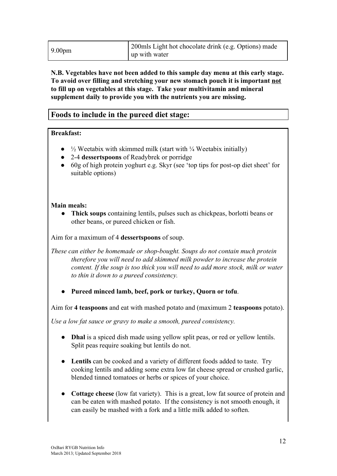| 9.00 <sub>pm</sub> | 200 mls Light hot chocolate drink (e.g. Options) made<br>up with water |
|--------------------|------------------------------------------------------------------------|
|                    |                                                                        |

#### **N.B. Vegetables have not been added to this sample day menu at this early stage. To avoid over filling and stretching your new stomach pouch it is important not to fill up on vegetables at this stage. Take your multivitamin and mineral supplement daily to provide you with the nutrients you are missing.**

## **Foods to include in the pureed diet stage:**

#### **Breakfast:**

- $\bullet$   $\frac{1}{2}$  Weetabix with skimmed milk (start with  $\frac{1}{4}$  Weetabix initially)
- 2-4 **dessertspoons** of Readybrek or porridge
- 60g of high protein yoghurt e.g. Skyr (see 'top tips for post-op diet sheet' for suitable options)

#### **Main meals:**

● **Thick soups** containing lentils, pulses such as chickpeas, borlotti beans or other beans, or pureed chicken or fish.

Aim for a maximum of 4 **dessertspoons** of soup.

*These can either be homemade or shop-bought. Soups do not contain much protein therefore you will need to add skimmed milk powder to increase the protein content. If the soup is too thick you will need to add more stock, milk or water to thin it down to a pureed consistency.*

Pureed minced lamb, beef, pork or turkey, Quorn or tofu.

Aim for **4 teaspoons** and eat with mashed potato and (maximum 2 **teaspoons** potato).

*Use a low fat sauce or gravy to make a smooth, pureed consistency.*

- **Dhal** is a spiced dish made using yellow split peas, or red or yellow lentils. Split peas require soaking but lentils do not.
- **Lentils** can be cooked and a variety of different foods added to taste. Try cooking lentils and adding some extra low fat cheese spread or crushed garlic, blended tinned tomatoes or herbs or spices of your choice.
- **Cottage cheese** (low fat variety). This is a great, low fat source of protein and can be eaten with mashed potato. If the consistency is not smooth enough, it can easily be mashed with a fork and a little milk added to soften.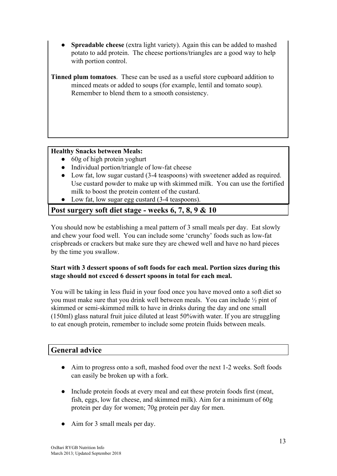**Spreadable cheese** (extra light variety). Again this can be added to mashed potato to add protein. The cheese portions/triangles are a good way to help with portion control.

**Tinned plum tomatoes**. These can be used as a useful store cupboard addition to minced meats or added to soups (for example, lentil and tomato soup). Remember to blend them to a smooth consistency.

### **Healthy Snacks between Meals:**

- 60g of high protein yoghurt
- Individual portion/triangle of low-fat cheese
- Low fat, low sugar custard (3-4 teaspoons) with sweetener added as required. Use custard powder to make up with skimmed milk. You can use the fortified milk to boost the protein content of the custard.
- Low fat, low sugar egg custard (3-4 teaspoons).

# **Post surgery soft diet stage - weeks 6, 7, 8, 9 & 10**

You should now be establishing a meal pattern of 3 small meals per day. Eat slowly and chew your food well. You can include some 'crunchy' foods such as low-fat crispbreads or crackers but make sure they are chewed well and have no hard pieces by the time you swallow.

### **Start with 3 dessert spoons of soft foods for each meal. Portion sizes during this stage should not exceed 6 dessert spoons in total for each meal.**

You will be taking in less fluid in your food once you have moved onto a soft diet so you must make sure that you drink well between meals. You can include ½ pint of skimmed or semi-skimmed milk to have in drinks during the day and one small (150ml) glass natural fruit juice diluted at least 50%with water. If you are struggling to eat enough protein, remember to include some protein fluids between meals.

## **General advice**

- Aim to progress onto a soft, mashed food over the next 1-2 weeks. Soft foods can easily be broken up with a fork.
- Include protein foods at every meal and eat these protein foods first (meat, fish, eggs, low fat cheese, and skimmed milk). Aim for a minimum of 60g protein per day for women; 70g protein per day for men.
- Aim for 3 small meals per day.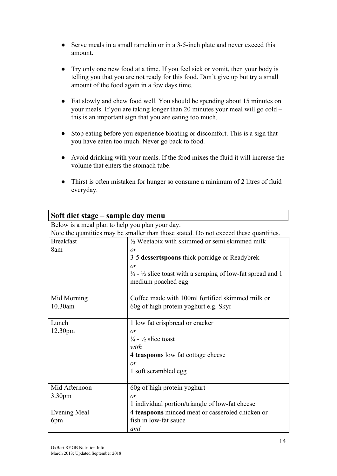- Serve meals in a small ramekin or in a 3-5-inch plate and never exceed this amount.
- Try only one new food at a time. If you feel sick or vomit, then your body is telling you that you are not ready for this food. Don't give up but try a small amount of the food again in a few days time.
- Eat slowly and chew food well. You should be spending about 15 minutes on your meals. If you are taking longer than 20 minutes your meal will go cold – this is an important sign that you are eating too much.
- Stop eating before you experience bloating or discomfort. This is a sign that you have eaten too much. Never go back to food.
- Avoid drinking with your meals. If the food mixes the fluid it will increase the volume that enters the stomach tube.
- Thirst is often mistaken for hunger so consume a minimum of 2 litres of fluid everyday.

| Soft diet stage – sample day menu                                                     |                                                                                   |  |
|---------------------------------------------------------------------------------------|-----------------------------------------------------------------------------------|--|
| Below is a meal plan to help you plan your day.                                       |                                                                                   |  |
| Note the quantities may be smaller than those stated. Do not exceed these quantities. |                                                                                   |  |
| <b>Breakfast</b>                                                                      | 1/2 Weetabix with skimmed or semi skimmed milk                                    |  |
| 8am                                                                                   | or                                                                                |  |
|                                                                                       | 3-5 dessertspoons thick porridge or Readybrek                                     |  |
|                                                                                       | or                                                                                |  |
|                                                                                       | $\frac{1}{4}$ - $\frac{1}{2}$ slice toast with a scraping of low-fat spread and 1 |  |
|                                                                                       | medium poached egg                                                                |  |
| Mid Morning                                                                           | Coffee made with 100ml fortified skimmed milk or                                  |  |
| 10.30am                                                                               | 60g of high protein yoghurt e.g. Skyr                                             |  |
|                                                                                       |                                                                                   |  |
| Lunch                                                                                 | 1 low fat crispbread or cracker                                                   |  |
| 12.30pm                                                                               | or                                                                                |  |
|                                                                                       | $\frac{1}{4}$ - $\frac{1}{2}$ slice toast                                         |  |
|                                                                                       | with                                                                              |  |
|                                                                                       | 4 teaspoons low fat cottage cheese                                                |  |
|                                                                                       | or                                                                                |  |
|                                                                                       | 1 soft scrambled egg                                                              |  |
|                                                                                       |                                                                                   |  |
| Mid Afternoon                                                                         | 60g of high protein yoghurt                                                       |  |
| 3.30pm                                                                                | or                                                                                |  |
|                                                                                       | 1 individual portion/triangle of low-fat cheese                                   |  |
| <b>Evening Meal</b>                                                                   | 4 teaspoons minced meat or casseroled chicken or                                  |  |
| 6pm                                                                                   | fish in low-fat sauce                                                             |  |
|                                                                                       | and                                                                               |  |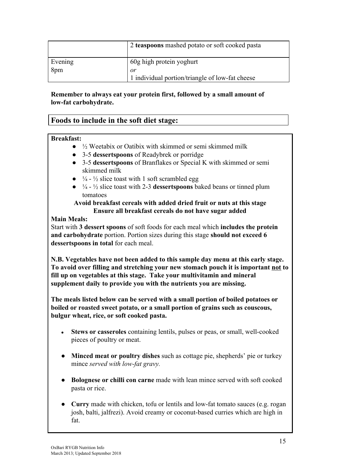|         | 2 teaspoons mashed potato or soft cooked pasta  |
|---------|-------------------------------------------------|
| Evening | 60g high protein yoghurt                        |
| 8pm     | or                                              |
|         | 1 individual portion/triangle of low-fat cheese |

### **Remember to always eat your protein first, followed by a small amount of low-fat carbohydrate.**

# **Foods to include in the soft diet stage:**

#### **Breakfast:**

- $\bullet$   $\frac{1}{2}$  Weetabix or Oatibix with skimmed or semi skimmed milk
- 3-5 **dessertspoons** of Readybrek or porridge
- 3-5 **dessertspoons** of Branflakes or Special K with skimmed or semi skimmed milk
- $\bullet$   $\frac{1}{4}$   $\frac{1}{2}$  slice toast with 1 soft scrambled egg
- ¼ ½ slice toast with 2-3 **dessertspoons** baked beans or tinned plum tomatoes

#### **Avoid breakfast cereals with added dried fruit or nuts at this stage Ensure all breakfast cereals do not have sugar added**

### **Main Meals:**

Start with **3 dessert spoons** of soft foods for each meal which **includes the protein and carbohydrate** portion. Portion sizes during this stage **should not exceed 6 dessertspoons in total** for each meal.

**N.B. Vegetables have not been added to this sample day menu at this early stage. To avoid over filling and stretching your new stomach pouch it is important not to fill up on vegetables at this stage. Take your multivitamin and mineral supplement daily to provide you with the nutrients you are missing.**

**The meals listed below can be served with a small portion of boiled potatoes or boiled or roasted sweet potato, or a small portion of grains such as couscous, bulgur wheat, rice, or soft cooked pasta.**

- **Stews or casseroles** containing lentils, pulses or peas, or small, well-cooked pieces of poultry or meat.
- **Minced meat or poultry dishes** such as cottage pie, shepherds' pie or turkey mince *served with low-fat gravy.*
- **Bolognese or chilli con carne** made with lean mince served with soft cooked pasta or rice.
- **Curry** made with chicken, tofu or lentils and low-fat tomato sauces (e.g. rogan josh, balti, jalfrezi). Avoid creamy or coconut-based curries which are high in fat.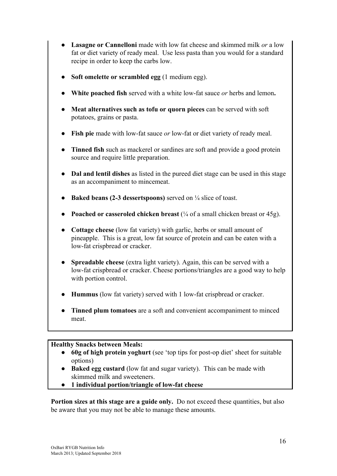- **Lasagne or Cannelloni** made with low fat cheese and skimmed milk *or* a low fat or diet variety of ready meal. Use less pasta than you would for a standard recipe in order to keep the carbs low.
- **Soft omelette or scrambled egg (1 medium egg).**
- **White poached fish** served with a white low-fat sauce *or* herbs and lemon.
- **Meat alternatives such as tofu or quorn pieces** can be served with soft potatoes, grains or pasta.
- **Fish pie** made with low-fat sauce *or* low-fat or diet variety of ready meal.
- **Tinned fish** such as mackerel or sardines are soft and provide a good protein source and require little preparation.
- **Dal and lentil dishes** as listed in the pureed diet stage can be used in this stage as an accompaniment to mincemeat.
- **Baked beans (2-3 dessertspoons)** served on ¼ slice of toast.
- **Poached or casseroled chicken breast**  $(\frac{1}{4}$  of a small chicken breast or 45g).
- **Cottage cheese** (low fat variety) with garlic, herbs or small amount of pineapple. This is a great, low fat source of protein and can be eaten with a low-fat crispbread or cracker.
- **Spreadable cheese** (extra light variety). Again, this can be served with a low-fat crispbread or cracker. Cheese portions/triangles are a good way to help with portion control.
- **Hummus** (low fat variety) served with 1 low-fat crispbread or cracker.
- **Tinned plum tomatoes** are a soft and convenient accompaniment to minced meat.

### **Healthy Snacks between Meals:**

- **60g of high protein yoghurt** (see 'top tips for post-op diet' sheet for suitable options)
- **Baked egg custard** (low fat and sugar variety). This can be made with skimmed milk and sweeteners.
- **1 individual portion/triangle of low-fat cheese**

**Portion sizes at this stage are a guide only.** Do not exceed these quantities, but also be aware that you may not be able to manage these amounts.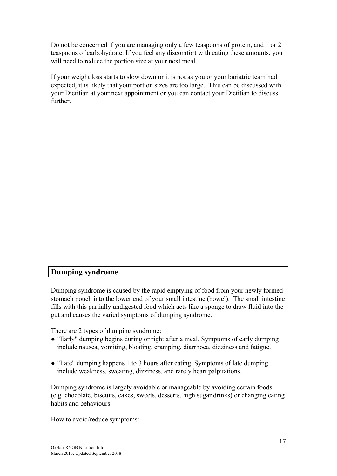Do not be concerned if you are managing only a few teaspoons of protein, and 1 or 2 teaspoons of carbohydrate. If you feel any discomfort with eating these amounts, you will need to reduce the portion size at your next meal.

If your weight loss starts to slow down or it is not as you or your bariatric team had expected, it is likely that your portion sizes are too large. This can be discussed with your Dietitian at your next appointment or you can contact your Dietitian to discuss further.

### **Dumping syndrome**

Dumping syndrome is caused by the rapid emptying of food from your newly formed stomach pouch into the lower end of your small intestine (bowel). The small intestine fills with this partially undigested food which acts like a sponge to draw fluid into the gut and causes the varied symptoms of dumping syndrome.

There are 2 types of dumping syndrome:

- "Early" dumping begins during or right after a meal. Symptoms of early dumping include nausea, vomiting, bloating, cramping, diarrhoea, dizziness and fatigue.
- "Late" dumping happens 1 to 3 hours after eating. Symptoms of late dumping include weakness, sweating, dizziness, and rarely heart palpitations.

Dumping syndrome is largely avoidable or manageable by avoiding certain foods (e.g. chocolate, biscuits, cakes, sweets, desserts, high sugar drinks) or changing eating habits and behaviours.

How to avoid/reduce symptoms: